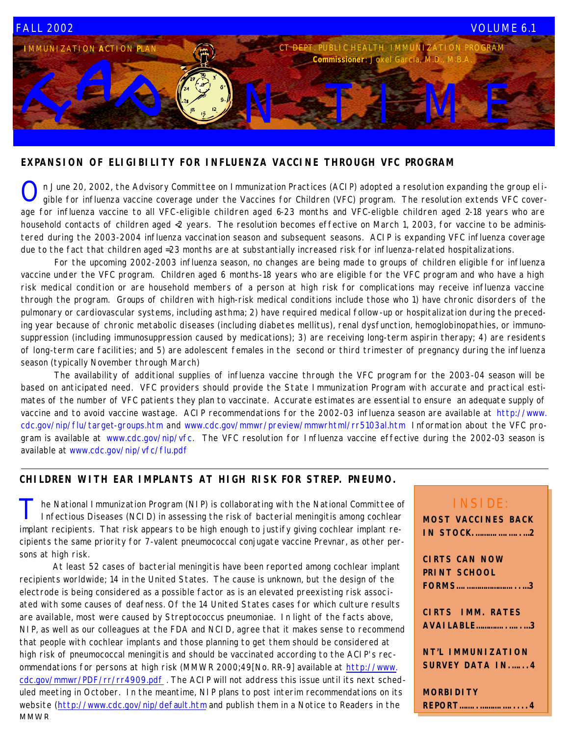

### **EXPANSION OF ELIGIBILITY FOR INFLUENZA VACCINE THROUGH VFC PROGRAM**

O n June 20, 2002, the Advisory Committee on Immunization Practices (ACIP) adopted a resolution expanding the group el igible for influenza vaccine coverage under the Vaccines for Children (VFC) program. The resolution extends VFC coverage for influenza vaccine to all VFC-eligible children aged 6-23 months and VFC-eligble children aged 2-18 years who are household contacts of children aged <2 years. The resolution becomes effective on March 1, 2003, for vaccine to be administered during the 2003-2004 influenza vaccination season and subsequent seasons. ACIP is expanding VFC influenza coverage due to the fact that children aged =23 months are at substantially increased risk for influenza-related hospitalizations.

 For the upcoming 2002-2003 influenza season, no changes are being made to groups of children eligible for influenza vaccine under the VFC program. Children aged 6 months-18 years who are eligible for the VFC program and who have a high risk medical condition or are household members of a person at high risk for complications may receive influenza vaccine through the program. Groups of children with high-risk medical conditions include those who 1) have chronic disorders of the pulmonary or cardiovascular systems, including asthma; 2) have required medical follow-up or hospitalization during the preceding year because of chronic metabolic diseases (including diabetes mellitus), renal dysfunction, hemoglobinopathies, or immunosuppression (including immunosuppression caused by medications); 3) are receiving long-term aspirin therapy; 4) are residents of long-term care facilities; and 5) are adolescent females in the second or third trimester of pregnancy during the influenza season (typically November through March)

 The availability of additional supplies of influenza vaccine through the VFC program for the 2003-04 season will be based on anticipated need. VFC providers should provide the State Immunization Program with accurate and practical estimates of the number of VFC patients they plan to vaccinate. Accurate estimates are essential to ensure an adequate supply of vaccine and to avoid vaccine wastage. ACIP recommendations for the 2002-03 influenza season are available at http://www. cdc.gov/nip/flu/target-groups.htm and www.cdc.gov/mmwr/preview/mmwrhtml/rr5103al.htm Information about the VFC program is available at www.cdc.gov/nip/vfc. The VFC resolution for Influenza vaccine effective during the 2002-03 season is available at www.cdc.gov/nip/vfc/flu.pdf

### **CHILDREN WITH EAR IMPLANTS AT HIGH RISK FOR STREP. PNEUMO.**

T he National Immunization Program (NIP) is collaborating with the National Committee of Infectious Diseases (NCID) in assessing the risk of bacterial meningitis among cochlear implant recipients. That risk appears to be high enough to justify giving cochlear implant recipients the same priority for 7-valent pneumococcal conjugate vaccine Prevnar, as other persons at high risk.

 At least 52 cases of bacterial meningitis have been reported among cochlear implant recipients worldwide; 14 in the United States. The cause is unknown, but the design of the electrode is being considered as a possible factor as is an elevated preexisting risk associated with some causes of deafness. Of the 14 United States cases for which culture results are available, most were caused by Streptococcus pneumoniae. In light of the facts above, NIP, as well as our colleagues at the FDA and NCID, agree that it makes sense to recommend that people with cochlear implants and those planning to get them should be considered at high risk of pneumococcal meningitis and should be vaccinated according to the ACIP's recommendations for persons at high risk (MMWR 2000;49[No. RR-9] available at http://www. cdc.gov/mmwr/PDF/rr/rr4909.pdf . The ACIP will not address this issue until its next scheduled meeting in October. In the meantime, NIP plans to post interim recommendations on its website (http://www.cdc.gov/nip/default.htm and publish them in a Notice to Readers in the **MMWR** 

# INSIDE:

| <b>MOST VACCINES BACK</b> |
|---------------------------|
| <b>IN STOCK2</b>          |
|                           |
| <b>CIRTS CAN NOW</b>      |
| <b>PRINT SCHOOL</b>       |
| FORMS3                    |
|                           |
| <b>CIRTS IMM. RATES</b>   |
| <b>AVAILABLE</b> 3        |
|                           |
| <b>NT'L IMMUNIZATION</b>  |
| <b>SURVEY DATA IN4</b>    |

**MORBIDITY REPORT……..……….….....4**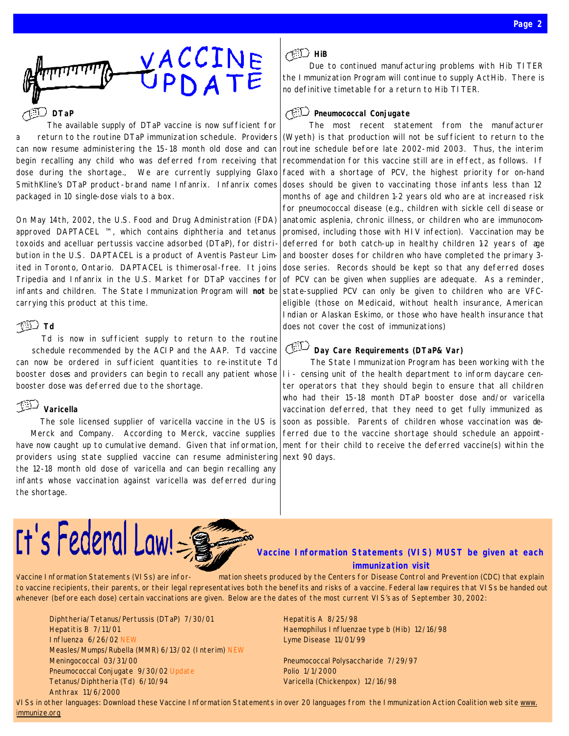

### **DTaP**

The available supply of DTaP vaccine is now sufficient for a return to the routine DTaP immunization schedule. Providers can now resume administering the 15-18 month old dose and can begin recalling any child who was deferred from receiving that dose during the shortage., We are currently supplying Glaxo SmithKline's DTaP product-brand name Infanrix. Infanrix comes packaged in 10 single-dose vials to a box.

On May 14th, 2002, the U.S. Food and Drug Administration (FDA) approved DAPTACEL ™, which contains diphtheria and tetanus toxoids and acelluar pertussis vaccine adsorbed (DTaP), for distribution in the U.S. DAPTACEL is a product of Aventis Pasteur Limited in Toronto, Ontario. DAPTACEL is thimerosal-free. It joins Tripedia and Infanrix in the U.S. Market for DTaP vaccines for infants and children. The State Immunization Program will **not** be carrying this product at this time.

### **Td**

Td is now in sufficient supply to return to the routine schedule recommended by the ACIP and the AAP. Td vaccine can now be ordered in sufficient quantities to re-institute Td booster doses and providers can begin to recall any patient whose booster dose was deferred due to the shortage.

# **Varicella**

The sole licensed supplier of varicella vaccine in the US is Merck and Company. According to Merck, vaccine supplies have now caught up to cumulative demand. Given that information, providers using state supplied vaccine can resume administering the 12-18 month old dose of varicella and can begin recalling any infants whose vaccination against varicella was deferred during the shortage.

## HiB

Due to continued manufacturing problems with Hib TITER the Immunization Program will continue to supply ActHib. There is no definitive timetable for a return to Hib TITER.

### **Pneumococcal Conjugate**

The most recent statement from the manufacturer (Wyeth) is that production will not be sufficient to return to the routine schedule before late 2002-mid 2003. Thus, the interim recommendation for this vaccine still are in effect, as follows. If faced with a shortage of PCV, the highest priority for on-hand doses should be given to vaccinating those infants less than 12 months of age and children 1-2 years old who are at increased risk for pneumococcal disease (e.g., children with sickle cell di sease or anatomic asplenia, chronic illness, or children who are immunocompromised, including those with HIV infection). Vaccination may be deferred for both catch-up in healthy children 12 years of age and booster doses for children who have completed the primary 3 dose series. Records should be kept so that any deferred doses of PCV can be given when supplies are adequate. As a reminder, state-supplied PCV can only be given to children who are VFCeligible (those on Medicaid, without health insurance, American Indian or Alaskan Eskimo, or those who have health insurance that does not cover the cost of immunizations)

# **Day Care Requirements (DTaP& Var)**

The State Immunization Program has been working with the l i - censing unit of the health department to inform daycare center operators that they should begin to ensure that all children who had their 15-18 month DTaP booster dose and/or varicella vaccination deferred, that they need to get fully immunized as soon as possible. Parents of children whose vaccination was deferred due to the vaccine shortage should schedule an appointment for their child to receive the deferred vaccine(s) within the next 90 days.



### **Vaccine Information Statements (VIS) MUST be given at each immunization visit**

Vaccine Information Statements (VISs) are infor- mation sheets produced by the Centers for Disease Control and Prevention (CDC) that explain to vaccine recipients, their parents, or their legal representatives both the benefits and risks of a vaccine. Federal law requires that VISs be handed out whenever *(before each dose)* certain vaccinations are given. Below are the dates of the most current VIS's as of September 30, 2002:

Diphtheria/Tetanus/Pertussis (DTaP) 7/30/01 Hepatitis A 8/25/98 Hepatitis B 7/11/01 **Haemophilus Influenzae type b (Hib)** 12/16/98 Influenza 6/26/02 NEW Lyme Disease 11/01/99 Measles/Mumps/Rubella (MMR) 6/13/02 (Interim) NEW Meningococcal 03/31/00 Pneumococcal Polysaccharide 7/29/97 Pneumococcal Conjugate 9/30/02 Update **Product Control Control Control Control** Polio 1/1/2000 Tetanus/Diphtheria (Td) 6/10/94 Varicella (Chickenpox) 12/16/98 Anthrax 11/6/2000

VISs in other languages: Download these Vaccine Information Statements in over 20 languages from the Immunization Action Coalition web site www. immunize.org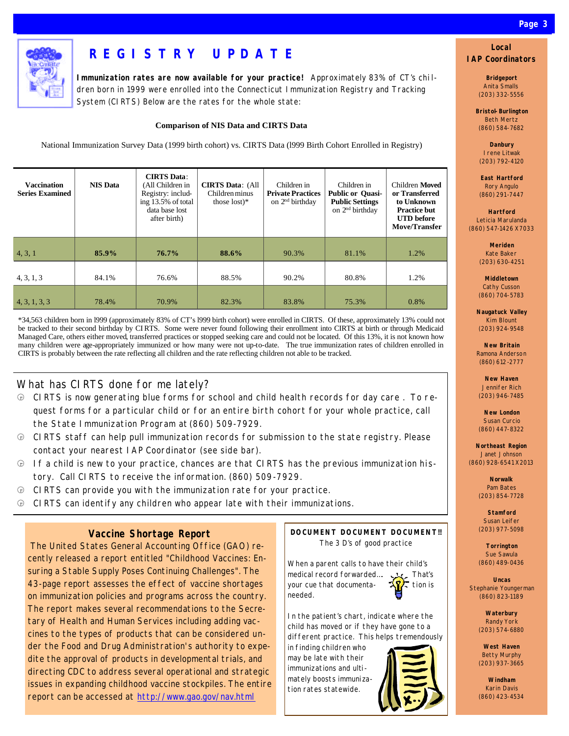

# **REGISTRY UPDATE**

**Immunization rates are now available for your practice!** Approximately 83% of CT's chi ldren born in 1999 were enrolled into the Connecticut Immunization Registry and Tracking System (CIRTS) Below are the rates for the whole state:

#### **Comparison of NIS Data and CIRTS Data**

National Immunization Survey Data (1999 birth cohort) vs. CIRTS Data (l999 Birth Cohort Enrolled in Registry)

| <b>Vaccination</b><br><b>Series Examined</b> | <b>NIS Data</b> | <b>CIRTS</b> Data:<br>(All Children in<br>Registry: includ-<br>ing 13.5% of total<br>data base lost<br>after birth) | <b>CIRTS Data: (All</b><br>Children minus<br>those $lost)*$ | Children in<br><b>Private Practices</b><br>on 2 <sup>nd</sup> birthday | Children in<br><b>Public or Quasi-</b><br><b>Public Settings</b><br>on 2 <sup>nd</sup> birthday | Children Moved<br>or Transferred<br>to Unknown<br><b>Practice but</b><br><b>UTD</b> before<br><b>Move/Transfer</b> |
|----------------------------------------------|-----------------|---------------------------------------------------------------------------------------------------------------------|-------------------------------------------------------------|------------------------------------------------------------------------|-------------------------------------------------------------------------------------------------|--------------------------------------------------------------------------------------------------------------------|
| 4, 3, 1                                      | 85.9%           | $76.7\%$                                                                                                            | 88.6%                                                       | 90.3%                                                                  | 81.1%                                                                                           | 1.2%                                                                                                               |
| 4, 3, 1, 3                                   | 84.1%           | 76.6%                                                                                                               | 88.5%                                                       | 90.2%                                                                  | 80.8%                                                                                           | 1.2%                                                                                                               |
| 4, 3, 1, 3, 3                                | 78.4%           | 70.9%                                                                                                               | 82.3%                                                       | 83.8%                                                                  | 75.3%                                                                                           | 0.8%                                                                                                               |

\*34,563 children born in l999 (approximately 83% of CT's l999 birth cohort) were enrolled in CIRTS. Of these, approximately 13% could not be tracked to their second birthday by CIRTS. Some were never found following their enrollment into CIRTS at birth or through Medicaid Managed Care, others either moved, transferred practices or stopped seeking care and could not be located. Of this 13%, it is not known how many children were age-appropriately immunized or how many were not up-to-date. The true immunization rates of children enrolled in CIRTS is probably between the rate reflecting all children and the rate reflecting children not able to be tracked.

### What has CIRTS done for me lately?

- â CIRTS is now generating blue forms for school and child health records for day care . To request forms for a particular child or for an entire birth cohort for your whole practice, call the State Immunization Program at (860) 509-7929.
- $\odot$  CIRTS staff can help pull immunization records for submission to the state registry. Please contact your nearest IAP Coordinator *(see side bar).*
- $\Theta$  If a child is new to your practice, chances are that CIRTS has the previous immunization history. Call CIRTS to receive the information. (860) 509-7929.
- $\Theta$  CIRTS can provide you with the immunization rate for your practice.
- $\bigoplus$  CIRTS can identify any children who appear late with their immunizations.

### **Vaccine Shortage Report**

 The United States General Accounting Office (GAO) recently released a report entitled "Childhood Vaccines: Ensuring a Stable Supply Poses Continuing Challenges". The 43-page report assesses the effect of vaccine shortages on immunization policies and programs across the country. The report makes several recommendations to the Secretary of Health and Human Services including adding vaccines to the types of products that can be considered under the Food and Drug Administration's authority to expedite the approval of products in developmental trials, and directing CDC to address several operational and strategic issues in expanding childhood vaccine stockpiles. The entire report can be accessed at http://www.gao.gov/nav.html

#### **DOCUMENT DOCUMENT DOCUMENT!!** *The 3 D's of good practice*

When a parent calls to have their child's medical record forwarded.... your cue that documenta-  $\sqrt{\sqrt{2}}$  tion is needed.

In the patient's chart, indicate where the child has moved or if they have gone to a different practice. This helps tremendously

in finding children who may be late with their immunizations and ultimately boosts immunization rates statewide.



### **Local IAP Coordinators**

**Bridgeport** Anita Smalls (203) 332-5556

**Bristol-Burlington** Beth Mertz (860) 584-7682

**Danbury** Irene Litwak (203) 792-4120

**East Hartford** Rory Angulo (860) 291-7447

**Hartford** Leticia Marulanda (860) 547-1426 X7033

> **Meriden** Kate Baker (203) 630-4251

**Middletown** Cathy Cusson (860) 704-5783

**Naugatuck Valley** Kim Blount (203) 924-9548

**New Britain** Ramona Anderson (860) 612-2777

**New Haven** Jennifer Rich (203) 946-7485

**New London** Susan Curcio (860) 447-8322

**Northeast Region** Janet Johnson (860) 928-6541 X2013

> **Norwalk** Pam Bates (203) 854-7728

**Stamford** Susan Leifer (203) 977-5098

**Torrington** Sue Sawula (860) 489-0436

**Uncas** Stephanie Youngerman (860) 823-1189

> **Waterbury** Randy York (203) 574-6880

> **West Haven** Betty Murphy (203) 937-3665

> **Windham** Karin Davis (860) 423-4534